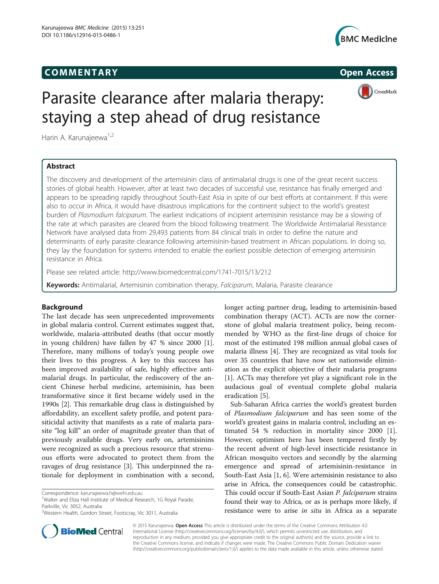# COMM EN TARY Open Access





# Parasite clearance after malaria therapy: staying a step ahead of drug resistance

Harin A. Karunajeewa<sup>1,2</sup>

# Abstract

The discovery and development of the artemisinin class of antimalarial drugs is one of the great recent success stories of global health. However, after at least two decades of successful use, resistance has finally emerged and appears to be spreading rapidly throughout South-East Asia in spite of our best efforts at containment. If this were also to occur in Africa, it would have disastrous implications for the continent subject to the world's greatest burden of Plasmodium falciparum. The earliest indications of incipient artemisinin resistance may be a slowing of the rate at which parasites are cleared from the blood following treatment. The Worldwide Antimalarial Resistance Network have analysed data from 29,493 patients from 84 clinical trials in order to define the nature and determinants of early parasite clearance following artemisinin-based treatment in African populations. In doing so, they lay the foundation for systems intended to enable the earliest possible detection of emerging artemisinin resistance in Africa.

Please see related article:<http://www.biomedcentral.com/1741-7015/13/212>

Keywords: Antimalarial, Artemisinin combination therapy, Falciparum, Malaria, Parasite clearance

# Background

The last decade has seen unprecedented improvements in global malaria control. Current estimates suggest that, worldwide, malaria-attributed deaths (that occur mostly in young children) have fallen by 47 % since 2000 [\[1](#page-2-0)]. Therefore, many millions of today's young people owe their lives to this progress. A key to this success has been improved availability of safe, highly effective antimalarial drugs. In particular, the rediscovery of the ancient Chinese herbal medicine, artemisinin, has been transformative since it first became widely used in the 1990s [\[2](#page-2-0)]. This remarkable drug class is distinguished by affordability, an excellent safety profile, and potent parasiticidal activity that manifests as a rate of malaria parasite "log kill" an order of magnitude greater than that of previously available drugs. Very early on, artemisinins were recognized as such a precious resource that strenuous efforts were advocated to protect them from the ravages of drug resistance [[3\]](#page-2-0). This underpinned the rationale for deployment in combination with a second,

<sup>1</sup>Walter and Eliza Hall Institute of Medical Research, 1G Royal Parade, Parkville, Vic 3052, Australia

longer acting partner drug, leading to artemisinin-based combination therapy (ACT). ACTs are now the cornerstone of global malaria treatment policy, being recommended by WHO as the first-line drugs of choice for most of the estimated 198 million annual global cases of malaria illness [\[4\]](#page-2-0). They are recognized as vital tools for over 35 countries that have now set nationwide elimination as the explicit objective of their malaria programs [[1\]](#page-2-0). ACTs may therefore yet play a significant role in the audacious goal of eventual complete global malaria eradication [\[5](#page-2-0)].

Sub-Saharan Africa carries the world's greatest burden of Plasmodium falciparum and has seen some of the world's greatest gains in malaria control, including an estimated 54 % reduction in mortality since 2000 [\[1](#page-2-0)]. However, optimism here has been tempered firstly by the recent advent of high-level insecticide resistance in African mosquito vectors and secondly by the alarming emergence and spread of artemisinin-resistance in South-East Asia [[1](#page-2-0), [6](#page-2-0)]. Were artemisinin resistance to also arise in Africa, the consequences could be catastrophic. This could occur if South-East Asian P. falciparum strains found their way to Africa, or as is perhaps more likely, if resistance were to arise in situ in Africa as a separate



© 2015 Karunajeewa. Open Access This article is distributed under the terms of the Creative Commons Attribution 4.0 International License [\(http://creativecommons.org/licenses/by/4.0/](http://creativecommons.org/licenses/by/4.0/)), which permits unrestricted use, distribution, and reproduction in any medium, provided you give appropriate credit to the original author(s) and the source, provide a link to the Creative Commons license, and indicate if changes were made. The Creative Commons Public Domain Dedication waiver [\(http://creativecommons.org/publicdomain/zero/1.0/](http://creativecommons.org/publicdomain/zero/1.0/)) applies to the data made available in this article, unless otherwise stated.

Correspondence: [karunajeewa.h@wehi.edu.au](mailto:karunajeewa.h@wehi.edu.au) <sup>1</sup>

<sup>2</sup> Western Health, Gordon Street, Footscray, Vic 3011, Australia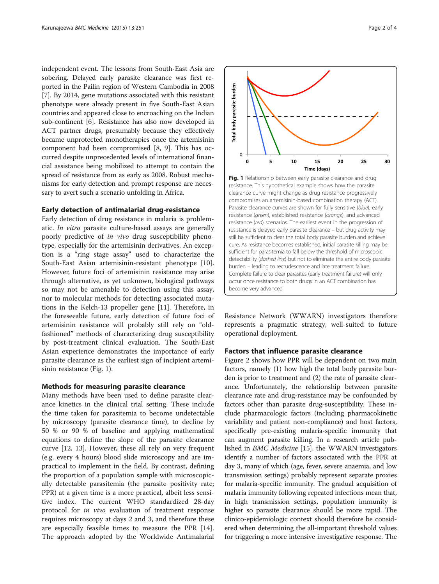independent event. The lessons from South-East Asia are sobering. Delayed early parasite clearance was first reported in the Pailin region of Western Cambodia in 2008 [[7\]](#page-2-0). By 2014, gene mutations associated with this resistant phenotype were already present in five South-East Asian countries and appeared close to encroaching on the Indian sub-continent [[6](#page-2-0)]. Resistance has also now developed in ACT partner drugs, presumably because they effectively became unprotected monotherapies once the artemisinin component had been compromised [[8, 9](#page-2-0)]. This has occurred despite unprecedented levels of international financial assistance being mobilized to attempt to contain the spread of resistance from as early as 2008. Robust mechanisms for early detection and prompt response are necessary to avert such a scenario unfolding in Africa.

### Early detection of antimalarial drug-resistance

Early detection of drug resistance in malaria is problematic. In vitro parasite culture-based assays are generally poorly predictive of in vivo drug susceptibility phenotype, especially for the artemisinin derivatives. An exception is a "ring stage assay" used to characterize the South-East Asian artemisinin-resistant phenotype [\[10](#page-2-0)]. However, future foci of artemisinin resistance may arise through alternative, as yet unknown, biological pathways so may not be amenable to detection using this assay, nor to molecular methods for detecting associated mutations in the Kelch-13 propeller gene [\[11\]](#page-2-0). Therefore, in the foreseeable future, early detection of future foci of artemisinin resistance will probably still rely on "oldfashioned" methods of characterizing drug susceptibility by post-treatment clinical evaluation. The South-East Asian experience demonstrates the importance of early parasite clearance as the earliest sign of incipient artemisinin resistance (Fig. 1).

#### Methods for measuring parasite clearance

Many methods have been used to define parasite clearance kinetics in the clinical trial setting. These include the time taken for parasitemia to become undetectable by microscopy (parasite clearance time), to decline by 50 % or 90 % of baseline and applying mathematical equations to define the slope of the parasite clearance curve [\[12](#page-2-0), [13](#page-3-0)]. However, these all rely on very frequent (e.g. every 4 hours) blood slide microscopy and are impractical to implement in the field. By contrast, defining the proportion of a population sample with microscopically detectable parasitemia (the parasite positivity rate; PPR) at a given time is a more practical, albeit less sensitive index. The current WHO standardized 28-day protocol for in vivo evaluation of treatment response requires microscopy at days 2 and 3, and therefore these are especially feasible times to measure the PPR [\[14](#page-3-0)]. The approach adopted by the Worldwide Antimalarial



resistance. This hypothetical example shows how the parasite clearance curve might change as drug resistance progressively compromises an artemisinin-based combination therapy (ACT). Parasite clearance curves are shown for fully sensitive (blue), early resistance (green), established resistance (orange), and advanced resistance (red) scenarios. The earliest event in the progression of resistance is delayed early parasite clearance – but drug activity may still be sufficient to clear the total body parasite burden and achieve cure. As resistance becomes established, initial parasite killing may be sufficient for parasitemia to fall below the threshold of microscopic detectability (dashed line) but not to eliminate the entire body parasite burden – leading to recrudescence and late treatment failure. Complete failure to clear parasites (early treatment failure) will only occur once resistance to both drugs in an ACT combination has become very advanced

Resistance Network (WWARN) investigators therefore represents a pragmatic strategy, well-suited to future operational deployment.

### Factors that influence parasite clearance

Figure [2](#page-2-0) shows how PPR will be dependent on two main factors, namely (1) how high the total body parasite burden is prior to treatment and (2) the rate of parasite clearance. Unfortunately, the relationship between parasite clearance rate and drug-resistance may be confounded by factors other than parasite drug-susceptibility. These include pharmacologic factors (including pharmacokinetic variability and patient non-compliance) and host factors, specifically pre-existing malaria-specific immunity that can augment parasite killing. In a research article published in BMC Medicine [[15](#page-3-0)], the WWARN investigators identify a number of factors associated with the PPR at day 3, many of which (age, fever, severe anaemia, and low transmission settings) probably represent separate proxies for malaria-specific immunity. The gradual acquisition of malaria immunity following repeated infections mean that, in high transmission settings, population immunity is higher so parasite clearance should be more rapid. The clinico-epidemiologic context should therefore be considered when determining the all-important threshold values for triggering a more intensive investigative response. The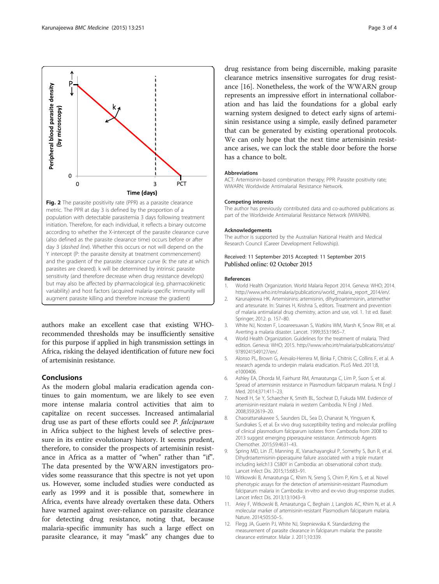<span id="page-2-0"></span>

population with detectable parasitemia 3 days following treatment initiation. Therefore, for each individual, it reflects a binary outcome according to whether the X-intercept of the parasite clearance curve (also defined as the parasite clearance time) occurs before or after day 3 (dashed line). Whether this occurs or not will depend on the Y intercept (P: the parasite density at treatment commencement) and the gradient of the parasite clearance curve (k: the rate at which parasites are cleared). k will be determined by intrinsic parasite sensitivity (and therefore decrease when drug resistance develops) but may also be affected by pharmacological (e.g. pharmacokinetic variability) and host factors (acquired malaria-specific immunity will augment parasite killing and therefore increase the gradient)

authors make an excellent case that existing WHOrecommended thresholds may be insufficiently sensitive for this purpose if applied in high transmission settings in Africa, risking the delayed identification of future new foci of artemisinin resistance.

# Conclusions

As the modern global malaria eradication agenda continues to gain momentum, we are likely to see even more intense malaria control activities that aim to capitalize on recent successes. Increased antimalarial drug use as part of these efforts could see P. falciparum in Africa subject to the highest levels of selective pressure in its entire evolutionary history. It seems prudent, therefore, to consider the prospects of artemisinin resistance in Africa as a matter of "when" rather than "if". The data presented by the WWARN investigators provides some reassurance that this spectre is not yet upon us. However, some included studies were conducted as early as 1999 and it is possible that, somewhere in Africa, events have already overtaken these data. Others have warned against over-reliance on parasite clearance for detecting drug resistance, noting that, because malaria-specific immunity has such a large effect on parasite clearance, it may "mask" any changes due to

drug resistance from being discernible, making parasite clearance metrics insensitive surrogates for drug resistance [[16\]](#page-3-0). Nonetheless, the work of the WWARN group represents an impressive effort in international collaboration and has laid the foundations for a global early warning system designed to detect early signs of artemisinin resistance using a simple, easily defined parameter that can be generated by existing operational protocols. We can only hope that the next time artemisinin resistance arises, we can lock the stable door before the horse has a chance to bolt.

#### Abbreviations

ACT: Artemisinin-based combination therapy; PPR: Parasite positivity rate; WWARN: Worldwide Antimalarial Resistance Network.

#### Competing interests

The author has previously contributed data and co-authored publications as part of the Worldwide Antimalarial Resistance Network (WWARN).

#### Acknowledgements

The author is supported by the Australian National Health and Medical Research Council (Career Development Fellowship).

#### Received: 11 September 2015 Accepted: 11 September 2015 Published online: 02 October 2015

#### References

- 1. World Health Organization. World Malaria Report 2014. Geneva: WHO; 2014. [http://www.who.int/malaria/publications/world\\_malaria\\_report\\_2014/en/](http://www.who.int/malaria/publications/world_malaria_report_2014/en/).
- 2. Karunajeewa HK. Artemisinins: artemisinin, dihydroartemisinin, artemether and artesunate. In: Staines H, Krishna S, editors. Treatment and prevention of malaria antimalarial drug chemistry, action and use, vol. 1. 1st ed. Basel: Springer; 2012. p. 157–80.
- White NJ, Nosten F, Looareesuwan S, Watkins WM, Marsh K, Snow RW, et al. Averting a malaria disaster. Lancet. 1999;353:1965–7.
- 4. World Health Organization. Guidelines for the treatment of malaria. Third edition. Geneva: WHO; 2015. [http://www.who.int/malaria/publications/atoz/](http://www.who.int/malaria/publications/atoz/9789241549127/en/) [9789241549127/en/](http://www.who.int/malaria/publications/atoz/9789241549127/en/).
- 5. Alonso PL, Brown G, Arevalo-Herrera M, Binka F, Chitnis C, Collins F, et al. A research agenda to underpin malaria eradication. PLoS Med. 2011;8, e1000406.
- 6. Ashley EA, Dhorda M, Fairhurst RM, Amaratunga C, Lim P, Suon S, et al. Spread of artemisinin resistance in Plasmodium falciparum malaria. N Engl J Med. 2014;371:411–23.
- 7. Noedl H, Se Y, Schaecher K, Smith BL, Socheat D, Fukuda MM. Evidence of artemisinin-resistant malaria in western Cambodia. N Engl J Med. 2008;359:2619–20.
- 8. Chaorattanakawee S, Saunders DL, Sea D, Chanarat N, Yingyuen K, Sundrakes S, et al. Ex vivo drug susceptibility testing and molecular profiling of clinical plasmodium falciparum isolates from Cambodia from 2008 to 2013 suggest emerging piperaquine resistance. Antimicrob Agents Chemother. 2015;59:4631–43.
- 9. Spring MD, Lin JT, Manning JE, Vanachayangkul P, Somethy S, Bun R, et al. Dihydroartemisinin-piperaquine failure associated with a triple mutant including kelch13 C580Y in Cambodia: an observational cohort study. Lancet Infect Dis. 2015;15:683–91.
- 10. Witkowski B, Amaratunga C, Khim N, Sreng S, Chim P, Kim S, et al. Novel phenotypic assays for the detection of artemisinin-resistant Plasmodium falciparum malaria in Cambodia: in-vitro and ex-vivo drug-response studies. Lancet Infect Dis. 2013;13:1043–9.
- 11. Ariey F, Witkowski B, Amaratunga C, Beghain J, Langlois AC, Khim N, et al. A molecular marker of artemisinin-resistant Plasmodium falciparum malaria. Nature. 2014;505:50–5.
- 12. Flegg JA, Guerin PJ, White NJ, Stepniewska K. Standardizing the measurement of parasite clearance in falciparum malaria: the parasite clearance estimator. Malar J. 2011;10:339.